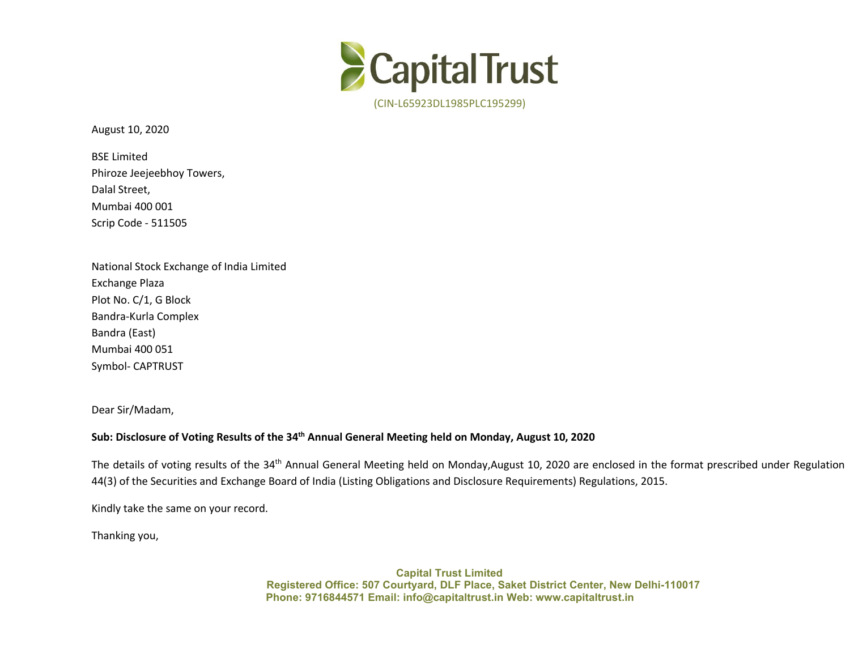

August 10, 2020

BSE Limited Phiroze Jeejeebhoy Towers, Dalal Street, Mumbai 400 001 Scrip Code - 511505

National Stock Exchange of India Limited Exchange Plaza Plot No. C/1, G Block Bandra-Kurla Complex Bandra (East) Mumbai 400 051 Symbol- CAPTRUST

Dear Sir/Madam,

## Sub: Disclosure of Voting Results of the 34<sup>th</sup> Annual General Meeting held on Monday, August 10, 2020

The details of voting results of the 34<sup>th</sup> Annual General Meeting held on Monday,August 10, 2020 are enclosed in the format prescribed under Regulation 44(3) of the Securities and Exchange Board of India (Listing Obligations and Disclosure Requirements) Regulations, 2015.

Kindly take the same on your record.<br>Thanking you,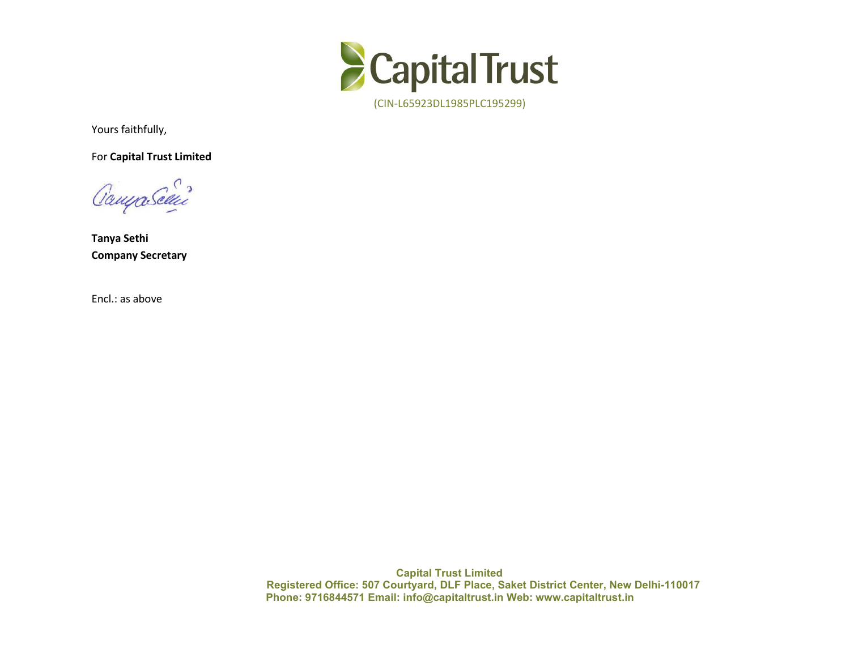

Yours faithfully,

For **Capital Trust Limited**

Campa Selvi

**Tanya Sethi Company Secretary**

Encl.: as above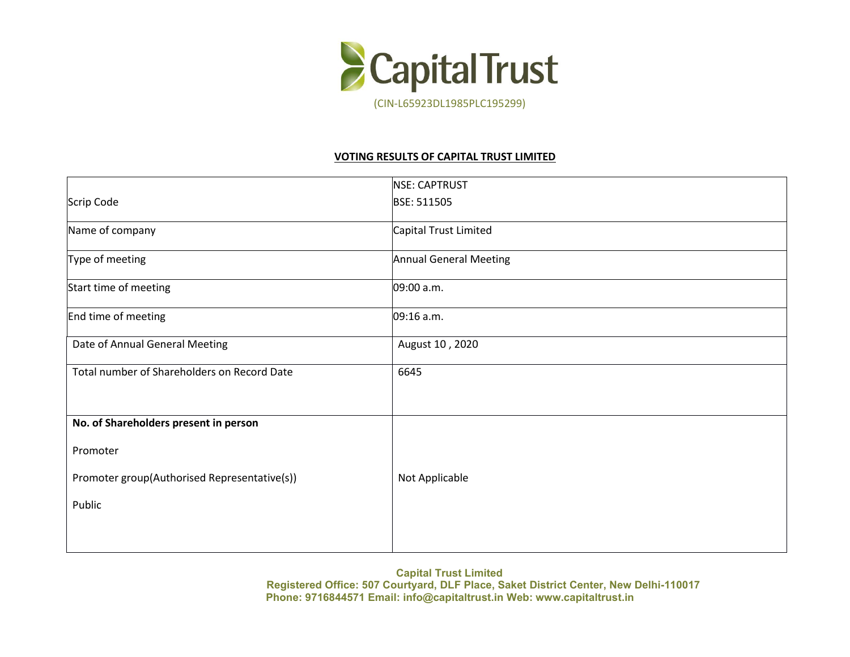

## **VOTING RESULTS OF CAPITAL TRUST LIMITED**

|                                              | NSE: CAPTRUST                 |
|----------------------------------------------|-------------------------------|
| Scrip Code                                   | BSE: 511505                   |
| Name of company                              | Capital Trust Limited         |
| Type of meeting                              | <b>Annual General Meeting</b> |
| Start time of meeting                        | 09:00 a.m.                    |
| End time of meeting                          | 09:16 a.m.                    |
| Date of Annual General Meeting               | August 10, 2020               |
| Total number of Shareholders on Record Date  | 6645                          |
|                                              |                               |
| No. of Shareholders present in person        |                               |
| Promoter                                     |                               |
| Promoter group(Authorised Representative(s)) | Not Applicable                |
| Public                                       |                               |
|                                              |                               |
|                                              |                               |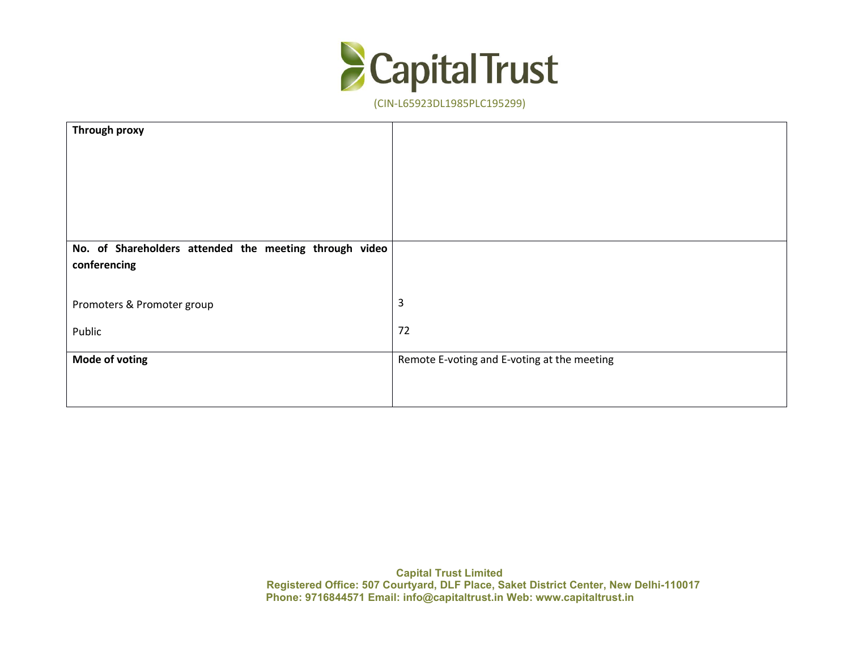

| Through proxy                                          |                                             |
|--------------------------------------------------------|---------------------------------------------|
|                                                        |                                             |
|                                                        |                                             |
|                                                        |                                             |
|                                                        |                                             |
|                                                        |                                             |
|                                                        |                                             |
| No. of Shareholders attended the meeting through video |                                             |
| conferencing                                           |                                             |
|                                                        |                                             |
| Promoters & Promoter group                             | 3                                           |
|                                                        |                                             |
| Public                                                 | 72                                          |
|                                                        |                                             |
| <b>Mode of voting</b>                                  | Remote E-voting and E-voting at the meeting |
|                                                        |                                             |
|                                                        |                                             |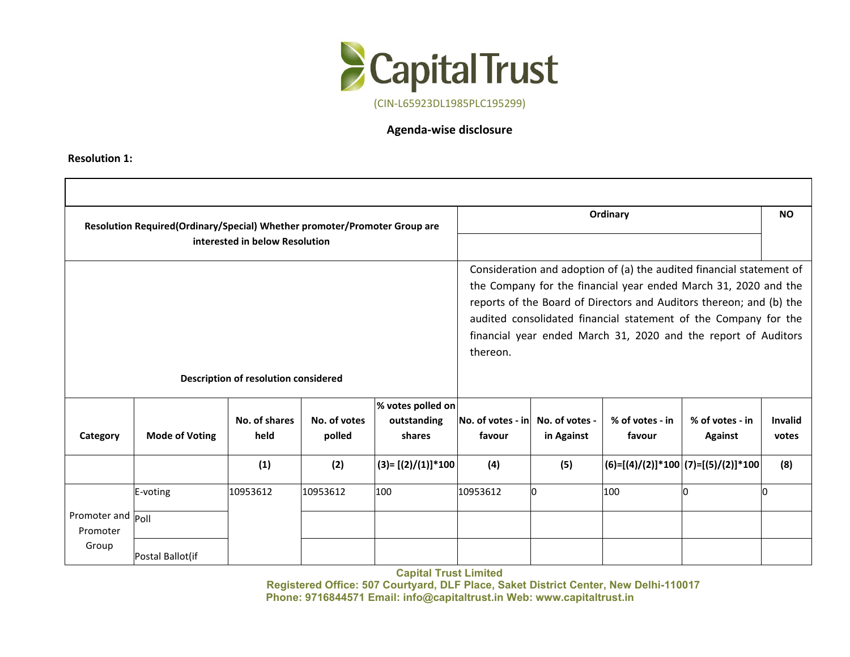

## **Agenda-wise disclosure**

**Resolution 1:**

|                               | Resolution Required(Ordinary/Special) Whether promoter/Promoter Group are | interested in below Resolution       |                        |                                            |                                                            | Ordinary                                                                                                                                                                                                                                                                                                                                            |                           | <b>NO</b>                             |                         |
|-------------------------------|---------------------------------------------------------------------------|--------------------------------------|------------------------|--------------------------------------------|------------------------------------------------------------|-----------------------------------------------------------------------------------------------------------------------------------------------------------------------------------------------------------------------------------------------------------------------------------------------------------------------------------------------------|---------------------------|---------------------------------------|-------------------------|
|                               |                                                                           |                                      |                        | thereon.                                   |                                                            | Consideration and adoption of (a) the audited financial statement of<br>the Company for the financial year ended March 31, 2020 and the<br>reports of the Board of Directors and Auditors thereon; and (b) the<br>audited consolidated financial statement of the Company for the<br>financial year ended March 31, 2020 and the report of Auditors |                           |                                       |                         |
|                               |                                                                           | Description of resolution considered |                        |                                            |                                                            |                                                                                                                                                                                                                                                                                                                                                     |                           |                                       |                         |
| Category                      | <b>Mode of Voting</b>                                                     | No. of shares<br>held                | No. of votes<br>polled | % votes polled on<br>outstanding<br>shares | $\vert$ No. of votes - in $\vert$ No. of votes -<br>favour | in Against                                                                                                                                                                                                                                                                                                                                          | % of votes - in<br>favour | % of votes - in<br><b>Against</b>     | <b>Invalid</b><br>votes |
|                               |                                                                           | (1)                                  | (2)                    | (3)= [(2)/(1)]*100                         | (4)                                                        | (5)                                                                                                                                                                                                                                                                                                                                                 |                           | $(6)=[(4)/(2)]*100 (7)=[(5)/(2)]*100$ | (8)                     |
|                               | E-voting                                                                  | 10953612                             | 10953612               | 100                                        | 10953612                                                   | lо                                                                                                                                                                                                                                                                                                                                                  | 100                       | In                                    | In                      |
| Promoter and Poll<br>Promoter |                                                                           |                                      |                        |                                            |                                                            |                                                                                                                                                                                                                                                                                                                                                     |                           |                                       |                         |
| Group                         | Postal Ballot(if                                                          |                                      |                        |                                            |                                                            |                                                                                                                                                                                                                                                                                                                                                     |                           |                                       |                         |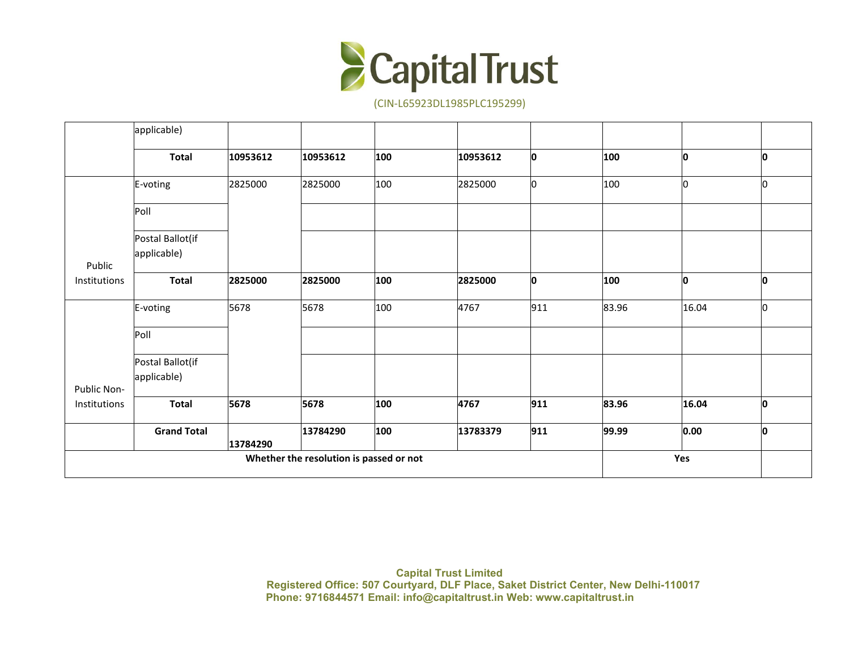

|              | applicable)                     |          |                                         |     |          |     |               |       |     |
|--------------|---------------------------------|----------|-----------------------------------------|-----|----------|-----|---------------|-------|-----|
|              | <b>Total</b>                    | 10953612 | 10953612                                | 100 | 10953612 | 0   | 100           | O     | l0. |
|              | E-voting                        | 2825000  | 2825000                                 | 100 | 2825000  | lо  | $ 100\rangle$ | O     | 10  |
|              | Poll                            |          |                                         |     |          |     |               |       |     |
| Public       | Postal Ballot(if<br>applicable) |          |                                         |     |          |     |               |       |     |
| Institutions | <b>Total</b>                    | 2825000  | 2825000                                 | 100 | 2825000  | 0   | 100           | O     | IO. |
|              | E-voting                        | 5678     | 5678                                    | 100 | 4767     | 911 | 83.96         | 16.04 | lo. |
|              | Poll                            |          |                                         |     |          |     |               |       |     |
| Public Non-  | Postal Ballot(if<br>applicable) |          |                                         |     |          |     |               |       |     |
| Institutions | <b>Total</b>                    | 5678     | 5678                                    | 100 | 4767     | 911 | 83.96         | 16.04 | lo. |
|              | <b>Grand Total</b>              | 13784290 | 13784290                                | 100 | 13783379 | 911 | 99.99         | 0.00  | IO. |
|              |                                 |          | Whether the resolution is passed or not |     |          |     |               | Yes   |     |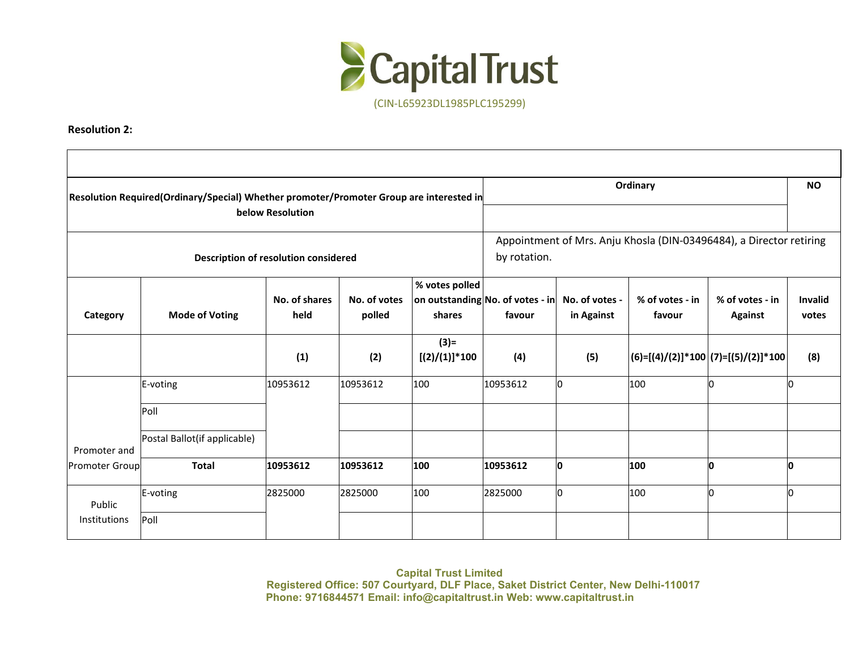

**Resolution 2:**

|                     | Resolution Required(Ordinary/Special) Whether promoter/Promoter Group are interested in | below Resolution                     |                        |                             |                                                                     |                                                                                                                                         | Ordinary |                                                             | <b>NO</b>        |  |  |
|---------------------|-----------------------------------------------------------------------------------------|--------------------------------------|------------------------|-----------------------------|---------------------------------------------------------------------|-----------------------------------------------------------------------------------------------------------------------------------------|----------|-------------------------------------------------------------|------------------|--|--|
|                     |                                                                                         | Description of resolution considered |                        | by rotation.                | Appointment of Mrs. Anju Khosla (DIN-03496484), a Director retiring |                                                                                                                                         |          |                                                             |                  |  |  |
| Category            | <b>Mode of Voting</b>                                                                   | No. of shares<br>held                | No. of votes<br>polled | % votes polled<br>shares    | favour                                                              | $ $ on outstanding No. of votes - in $ $ No. of votes -<br>% of votes - in<br>% of votes - in<br>in Against<br>favour<br><b>Against</b> |          |                                                             | Invalid<br>votes |  |  |
|                     |                                                                                         | (1)                                  | (2)                    | $(3) =$<br>$[(2)/(1)]$ *100 | (4)                                                                 | (5)                                                                                                                                     |          | $\big (6)$ =[(4)/(2)]*100 $\big (7)$ =[(5)/(2)]*100 $\big $ | (8)              |  |  |
|                     | E-voting                                                                                | 10953612                             | 10953612               | 100                         | 10953612                                                            | n.                                                                                                                                      | 100      | ın                                                          | l0               |  |  |
|                     | Poll                                                                                    |                                      |                        |                             |                                                                     |                                                                                                                                         |          |                                                             |                  |  |  |
| Promoter and        | Postal Ballot(if applicable)                                                            |                                      |                        |                             |                                                                     |                                                                                                                                         |          |                                                             |                  |  |  |
| Promoter Group      | <b>Total</b>                                                                            | 10953612                             | 10953612               | 100                         | 10953612                                                            | O                                                                                                                                       | 100      | n                                                           | O                |  |  |
| Public              | E-voting                                                                                | 2825000                              | 2825000                | 100                         | 2825000                                                             | n                                                                                                                                       | 100      | In                                                          | l0               |  |  |
| <b>Institutions</b> | Poll                                                                                    |                                      |                        |                             |                                                                     |                                                                                                                                         |          |                                                             |                  |  |  |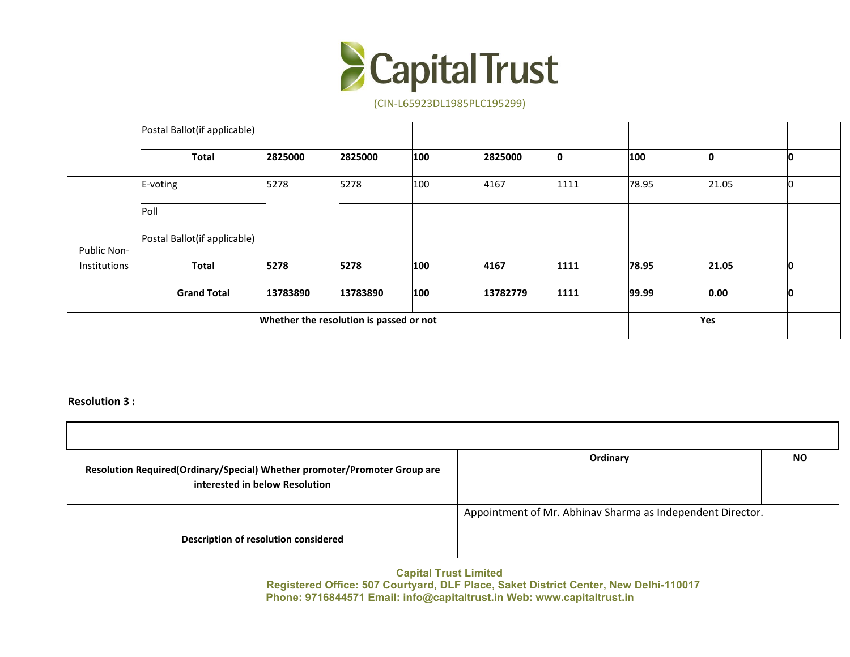

|              | Postal Ballot(if applicable) |          |                                         |     |          |      |       |       |    |
|--------------|------------------------------|----------|-----------------------------------------|-----|----------|------|-------|-------|----|
|              | <b>Total</b>                 | 2825000  | 2825000                                 | 100 | 2825000  | 10   | 100   |       |    |
|              | $E-voting$                   | 5278     | 5278                                    | 100 | 4167     | 1111 | 78.95 | 21.05 |    |
|              | Poll                         |          |                                         |     |          |      |       |       |    |
| Public Non-  | Postal Ballot(if applicable) |          |                                         |     |          |      |       |       |    |
| Institutions | <b>Total</b>                 | 5278     | 5278                                    | 100 | 4167     | 1111 | 78.95 | 21.05 |    |
|              | <b>Grand Total</b>           | 13783890 | 13783890                                | 100 | 13782779 | 1111 | 99.99 | 0.00  | ıп |
|              |                              |          | Whether the resolution is passed or not |     |          |      |       | Yes   |    |

**Resolution 3 :**

| Resolution Required(Ordinary/Special) Whether promoter/Promoter Group are<br>interested in below Resolution | Ordinary                                                   | <b>NO</b> |
|-------------------------------------------------------------------------------------------------------------|------------------------------------------------------------|-----------|
|                                                                                                             | Appointment of Mr. Abhinav Sharma as Independent Director. |           |
| <b>Description of resolution considered</b>                                                                 |                                                            |           |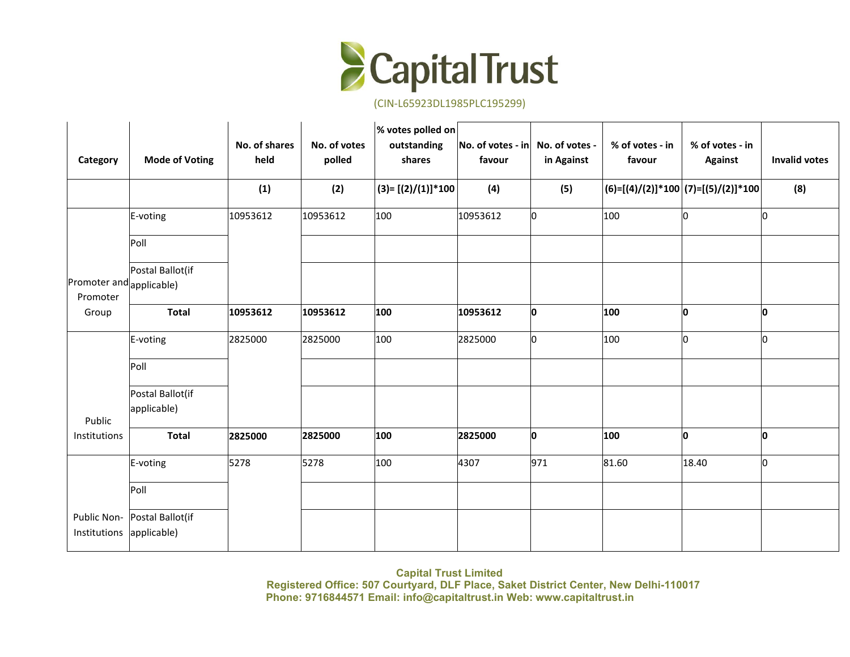

| Category                                | <b>Mode of Voting</b> | No. of shares<br>held | No. of votes<br>polled | % votes polled on<br>outstanding<br>shares | $\vert$ No. of votes - in $\vert$ No. of votes -<br>favour | in Against | % of votes - in<br>favour                     | % of votes - in<br><b>Against</b> | <b>Invalid votes</b> |
|-----------------------------------------|-----------------------|-----------------------|------------------------|--------------------------------------------|------------------------------------------------------------|------------|-----------------------------------------------|-----------------------------------|----------------------|
|                                         |                       | (1)                   | (2)                    | $(3)=[(2)/(1)]*100$                        | (4)                                                        | (5)        | $ (6)=[(4)/(2)]^{*}100 (7)=[(5)/(2)]^{*}100 $ |                                   | (8)                  |
|                                         | E-voting              | 10953612              | 10953612               | 100                                        | 10953612                                                   | 0          | 100                                           | ln.                               | ln.                  |
|                                         | Poll                  |                       |                        |                                            |                                                            |            |                                               |                                   |                      |
| Promoter and applicable)<br>Promoter    | Postal Ballot(if      |                       |                        |                                            |                                                            |            |                                               |                                   |                      |
| Group                                   | <b>Total</b>          | 10953612              | 10953612               | 100                                        | 10953612                                                   | O          | 100                                           | l0                                | O                    |
|                                         | E-voting              | 2825000               | 2825000                | 100                                        | 2825000                                                    | lo.        | 100                                           | l0.                               | lO.                  |
|                                         | Poll                  |                       |                        |                                            |                                                            |            |                                               |                                   |                      |
|                                         | Postal Ballot(if      |                       |                        |                                            |                                                            |            |                                               |                                   |                      |
| Public                                  | applicable)           |                       |                        |                                            |                                                            |            |                                               |                                   |                      |
| Institutions                            | <b>Total</b>          | 2825000               | 2825000                | 100                                        | 2825000                                                    | O          | 100                                           | lo.                               | O.                   |
|                                         | E-voting              | 5278                  | 5278                   | 100                                        | 4307                                                       | 971        | 81.60                                         | 18.40                             | 10                   |
|                                         | Poll                  |                       |                        |                                            |                                                            |            |                                               |                                   |                      |
| Public Non-<br>Institutions applicable) | Postal Ballot(if      |                       |                        |                                            |                                                            |            |                                               |                                   |                      |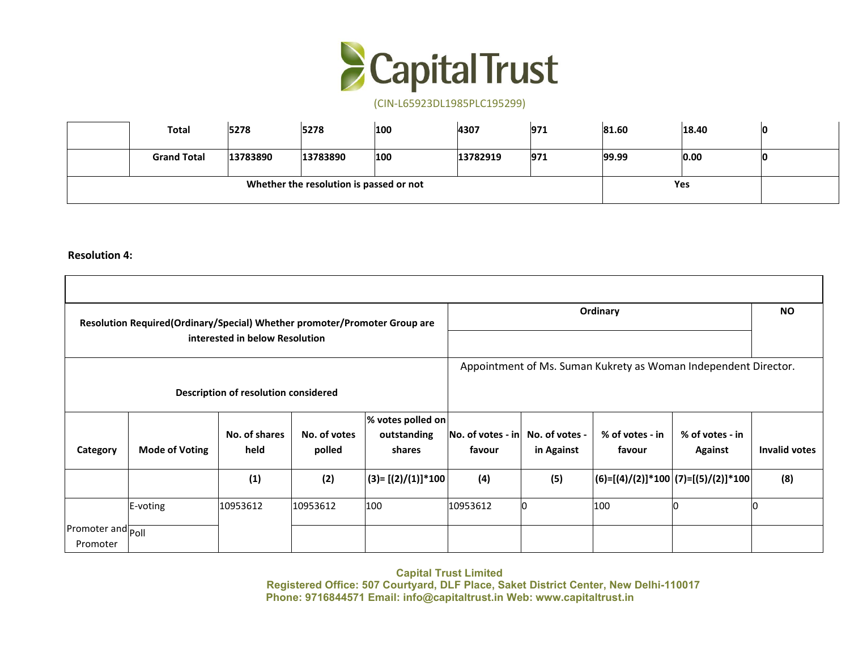

| <b>Total</b>       | 5278     | 5278                                    | 100 | 4307     | 971 | 81.60 | 18.40 |  |
|--------------------|----------|-----------------------------------------|-----|----------|-----|-------|-------|--|
| <b>Grand Total</b> | 13783890 | 13783890                                | 100 | 13782919 | 971 | 99.99 | 0.00  |  |
|                    |          | Whether the resolution is passed or not |     |          |     |       | Yes   |  |

**Resolution 4:**

|                               | Resolution Required(Ordinary/Special) Whether promoter/Promoter Group are | interested in below Resolution       |                        |                                            |                                                            |            | Ordinary                                                        |                                                               | <b>NO</b>            |
|-------------------------------|---------------------------------------------------------------------------|--------------------------------------|------------------------|--------------------------------------------|------------------------------------------------------------|------------|-----------------------------------------------------------------|---------------------------------------------------------------|----------------------|
|                               |                                                                           | Description of resolution considered |                        |                                            |                                                            |            | Appointment of Ms. Suman Kukrety as Woman Independent Director. |                                                               |                      |
| Category                      | <b>Mode of Voting</b>                                                     | No. of shares<br>held                | No. of votes<br>polled | % votes polled on<br>outstanding<br>shares | $\vert$ No. of votes - in $\vert$ No. of votes -<br>favour | in Against | % of votes - in<br>favour                                       | % of votes - in<br><b>Against</b>                             | <b>Invalid votes</b> |
|                               |                                                                           | (1)                                  | (2)                    | $ (3)$ = [(2)/(1)]*100 $ $                 | (4)                                                        | (5)        |                                                                 | $\big  (6)$ =[(4)/(2)]*100 $\big  (7)$ =[(5)/(2)]*100 $\big $ | (8)                  |
|                               | E-voting                                                                  | 10953612                             | 10953612               | 100                                        | 10953612                                                   |            | 100                                                             |                                                               |                      |
| Promoter and Poll<br>Promoter |                                                                           |                                      |                        |                                            |                                                            |            |                                                                 |                                                               |                      |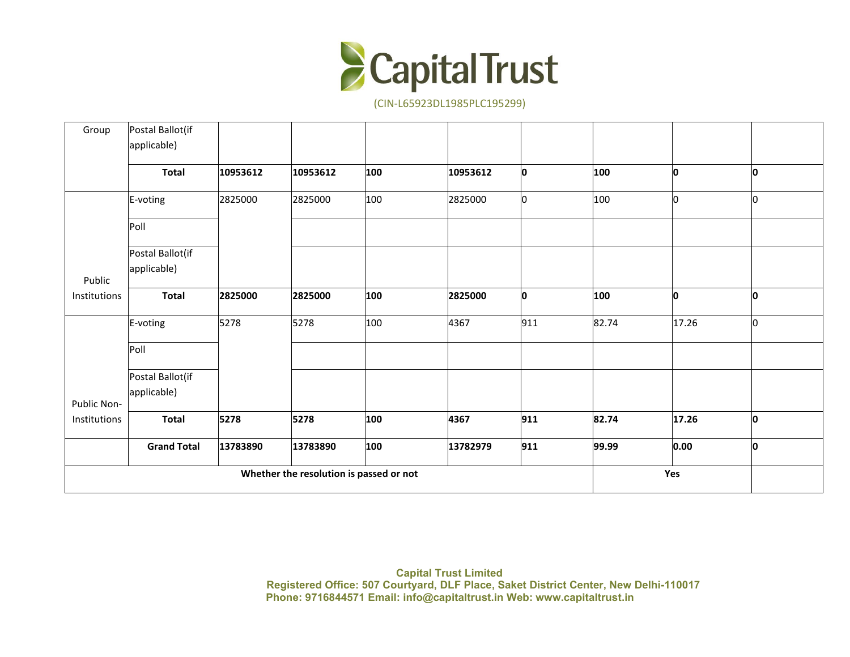

| Group                       | Postal Ballot(if                |          |                                         |     |          |     |       |       |     |  |
|-----------------------------|---------------------------------|----------|-----------------------------------------|-----|----------|-----|-------|-------|-----|--|
|                             | applicable)                     |          |                                         |     |          |     |       |       |     |  |
|                             | <b>Total</b>                    | 10953612 | 10953612                                | 100 | 10953612 | O   | 100   | l0    | O   |  |
|                             | E-voting                        | 2825000  | 2825000                                 | 100 | 2825000  | 10  | 100   | l0    | lO  |  |
|                             | Poll                            |          |                                         |     |          |     |       |       |     |  |
| Public                      | Postal Ballot(if<br>applicable) |          |                                         |     |          |     |       |       |     |  |
| Institutions                | <b>Total</b>                    | 2825000  | 2825000                                 | 100 | 2825000  | O   | 100   | 0     | lo. |  |
|                             | E-voting                        | 5278     | 5278                                    | 100 | 4367     | 911 | 82.74 | 17.26 | I٥  |  |
|                             | Poll                            |          |                                         |     |          |     |       |       |     |  |
|                             | Postal Ballot(if<br>applicable) |          |                                         |     |          |     |       |       |     |  |
| Public Non-<br>Institutions | <b>Total</b>                    | 5278     | 5278                                    | 100 | 4367     | 911 | 82.74 | 17.26 | 0   |  |
|                             |                                 |          |                                         |     |          |     |       |       |     |  |
|                             | <b>Grand Total</b>              | 13783890 | 13783890                                | 100 | 13782979 | 911 | 99.99 | 0.00  | 0   |  |
|                             |                                 |          | Whether the resolution is passed or not |     |          |     |       | Yes   |     |  |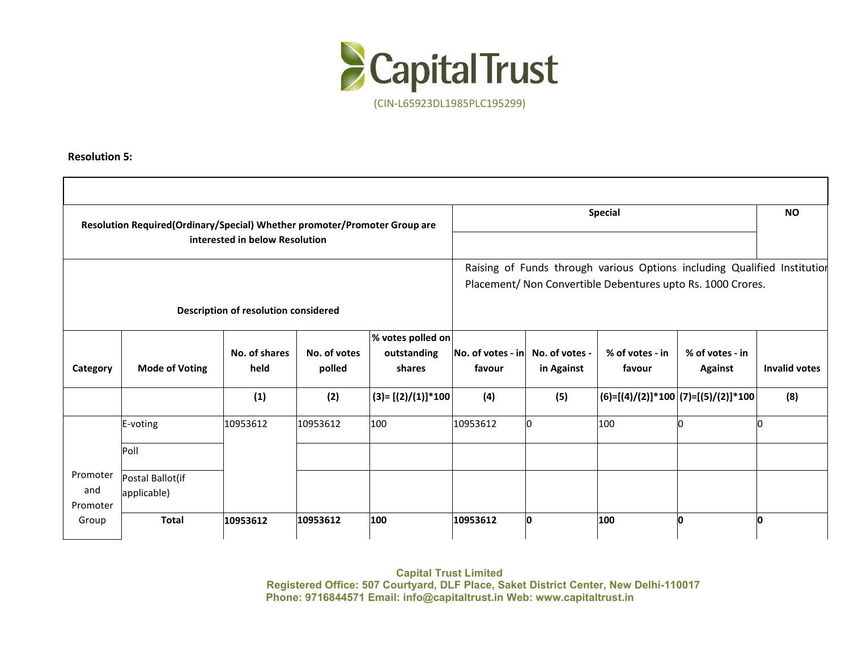

**Resolution 5:**

|                   | Resolution Required(Ordinary/Special) Whether promoter/Promoter Group are |                                      |                        |                       |                                            |            | <b>Special</b>                                                           |                            | <b>NO</b>            |
|-------------------|---------------------------------------------------------------------------|--------------------------------------|------------------------|-----------------------|--------------------------------------------|------------|--------------------------------------------------------------------------|----------------------------|----------------------|
|                   |                                                                           | interested in below Resolution       |                        |                       |                                            |            |                                                                          |                            |                      |
|                   |                                                                           |                                      |                        |                       |                                            |            | Raising of Funds through various Options including Qualified Institution |                            |                      |
|                   |                                                                           |                                      |                        |                       |                                            |            | Placement/ Non Convertible Debentures upto Rs. 1000 Crores.              |                            |                      |
|                   |                                                                           | Description of resolution considered |                        |                       |                                            |            |                                                                          |                            |                      |
|                   |                                                                           |                                      |                        | % votes polled on     |                                            |            |                                                                          |                            |                      |
| Category          | <b>Mode of Voting</b>                                                     | No. of shares<br>held                | No. of votes<br>polled | outstanding<br>shares | No. of votes - in No. of votes -<br>favour | in Against | % of votes - in<br>favour                                                | % of votes - in<br>Against | <b>Invalid votes</b> |
|                   |                                                                           | (1)                                  | (2)                    | $(3)=[(2)/(1)]*100$   | (4)                                        | (5)        | $\big (6)$ =[(4)/(2)]*100 $\big (7)$ =[(5)/(2)]*100 $\big $              |                            | (8)                  |
|                   | E-voting                                                                  | 10953612                             | 10953612               | 100                   | 10953612                                   | lo.        | 100                                                                      | In                         |                      |
|                   | Poll                                                                      |                                      |                        |                       |                                            |            |                                                                          |                            |                      |
| Promoter          | Postal Ballot(if                                                          |                                      |                        |                       |                                            |            |                                                                          |                            |                      |
| and               | applicable)                                                               |                                      |                        |                       |                                            |            |                                                                          |                            |                      |
| Promoter<br>Group | <b>Total</b>                                                              | 10953612                             | 10953612               | 100                   | 10953612                                   | lo.        | 100                                                                      | l0                         | IO                   |
|                   |                                                                           |                                      |                        |                       |                                            |            |                                                                          |                            |                      |